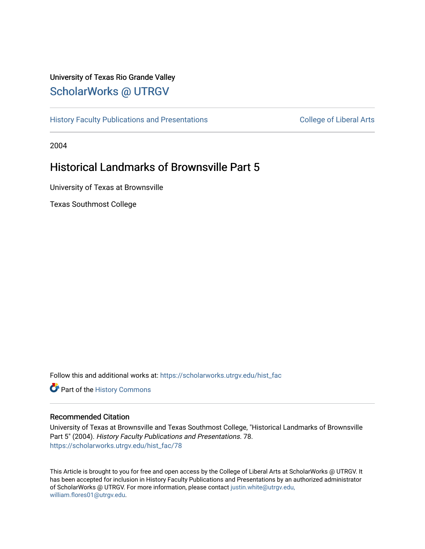### University of Texas Rio Grande Valley [ScholarWorks @ UTRGV](https://scholarworks.utrgv.edu/)

[History Faculty Publications and Presentations](https://scholarworks.utrgv.edu/hist_fac) **COLLEGE 12 College of Liberal Arts** 

2004

## Historical Landmarks of Brownsville Part 5

University of Texas at Brownsville

Texas Southmost College

Follow this and additional works at: [https://scholarworks.utrgv.edu/hist\\_fac](https://scholarworks.utrgv.edu/hist_fac?utm_source=scholarworks.utrgv.edu%2Fhist_fac%2F78&utm_medium=PDF&utm_campaign=PDFCoverPages) 

Part of the [History Commons](http://network.bepress.com/hgg/discipline/489?utm_source=scholarworks.utrgv.edu%2Fhist_fac%2F78&utm_medium=PDF&utm_campaign=PDFCoverPages) 

#### Recommended Citation

University of Texas at Brownsville and Texas Southmost College, "Historical Landmarks of Brownsville Part 5" (2004). History Faculty Publications and Presentations. 78. [https://scholarworks.utrgv.edu/hist\\_fac/78](https://scholarworks.utrgv.edu/hist_fac/78?utm_source=scholarworks.utrgv.edu%2Fhist_fac%2F78&utm_medium=PDF&utm_campaign=PDFCoverPages)

This Article is brought to you for free and open access by the College of Liberal Arts at ScholarWorks @ UTRGV. It has been accepted for inclusion in History Faculty Publications and Presentations by an authorized administrator of ScholarWorks @ UTRGV. For more information, please contact [justin.white@utrgv.edu,](mailto:justin.white@utrgv.edu,%20william.flores01@utrgv.edu) [william.flores01@utrgv.edu](mailto:justin.white@utrgv.edu,%20william.flores01@utrgv.edu).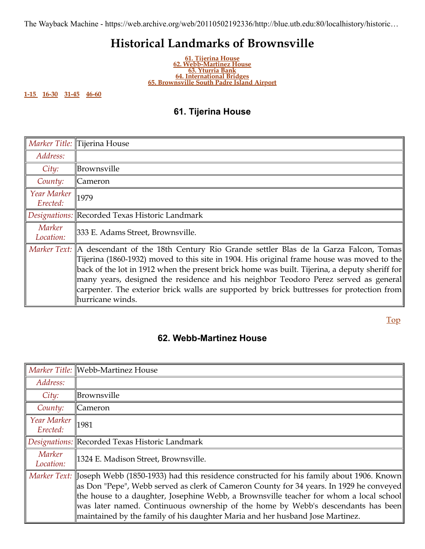# **Historical Landmarks of Brownsville**

**61. [Tijerina House](#page-1-0) 62. [Webb-Martinez House](#page-1-1) 63. [Yturria Bank](#page-2-0) [64. International Bridges](https://web.archive.org/web/20110502192336/http://blue.utb.edu/localhistory/bridges_of_the_area.htm) [65. Brownsville South Padre Island Airport](https://web.archive.org/web/20110502192336/http://blue.utb.edu/localhistory/airport.htm)**

<span id="page-1-3"></span><span id="page-1-2"></span>**[1-15](https://web.archive.org/web/20110502192336/http://blue.utb.edu/localhistory/Alejandro%20Vera/historical_landmarks_page%201.htm)  [16-30](https://web.archive.org/web/20110502192336/http://blue.utb.edu/localhistory/Alejandro%20Vera/historical_landmarks_page%202.htm) [31-45](https://web.archive.org/web/20110502192336/http://blue.utb.edu/localhistory/historical_landmarks_page%203.htm)  [46-60](https://web.archive.org/web/20110502192336/http://blue.utb.edu/localhistory/historical_landmarks_page%204.htm)**

### <span id="page-1-0"></span>**61. Tijerina House**

|                         | Marker Title: Tijerina House                                                                                                                                                                                                                                                                                                                                                                                                                                                                                 |
|-------------------------|--------------------------------------------------------------------------------------------------------------------------------------------------------------------------------------------------------------------------------------------------------------------------------------------------------------------------------------------------------------------------------------------------------------------------------------------------------------------------------------------------------------|
| Address:                |                                                                                                                                                                                                                                                                                                                                                                                                                                                                                                              |
| City:                   | Brownsville                                                                                                                                                                                                                                                                                                                                                                                                                                                                                                  |
| County:                 | Cameron                                                                                                                                                                                                                                                                                                                                                                                                                                                                                                      |
| Year Marker<br>Erected: | 1979                                                                                                                                                                                                                                                                                                                                                                                                                                                                                                         |
|                         | Designations: Recorded Texas Historic Landmark                                                                                                                                                                                                                                                                                                                                                                                                                                                               |
| Marker<br>Location:     | 333 E. Adams Street, Brownsville.                                                                                                                                                                                                                                                                                                                                                                                                                                                                            |
|                         | Marker Text:   A descendant of the 18th Century Rio Grande settler Blas de la Garza Falcon, Tomas  <br>Tijerina (1860-1932) moved to this site in 1904. His original frame house was moved to the<br>back of the lot in 1912 when the present brick home was built. Tijerina, a deputy sheriff for<br>many years, designed the residence and his neighbor Teodoro Perez served as general<br>  carpenter. The exterior brick walls are supported by brick buttresses for protection from<br>hurricane winds. |

[Top](#page-1-2)

### <span id="page-1-1"></span>**62. Webb-Martinez House**

|                         | Marker Title: Webb-Martinez House                                                                                                                                                                                                                                                                                                                                                                                                                                      |  |
|-------------------------|------------------------------------------------------------------------------------------------------------------------------------------------------------------------------------------------------------------------------------------------------------------------------------------------------------------------------------------------------------------------------------------------------------------------------------------------------------------------|--|
| Address:                |                                                                                                                                                                                                                                                                                                                                                                                                                                                                        |  |
| City:                   | Brownsville                                                                                                                                                                                                                                                                                                                                                                                                                                                            |  |
| County:                 | Cameron                                                                                                                                                                                                                                                                                                                                                                                                                                                                |  |
| Year Marker<br>Erected: | 1981                                                                                                                                                                                                                                                                                                                                                                                                                                                                   |  |
|                         | Designations:  Recorded Texas Historic Landmark                                                                                                                                                                                                                                                                                                                                                                                                                        |  |
| Marker<br>Location:     | 1324 E. Madison Street, Brownsville.                                                                                                                                                                                                                                                                                                                                                                                                                                   |  |
|                         | Marker Text: Joseph Webb (1850-1933) had this residence constructed for his family about 1906. Known<br>  as Don "Pepe", Webb served as clerk of Cameron County for 34 years. In 1929 he conveyed<br> the house to a daughter, Josephine Webb, a Brownsville teacher for whom a local school  <br> was later named. Continuous ownership of the home by Webb's descendants has been  <br>maintained by the family of his daughter Maria and her husband Jose Martinez. |  |